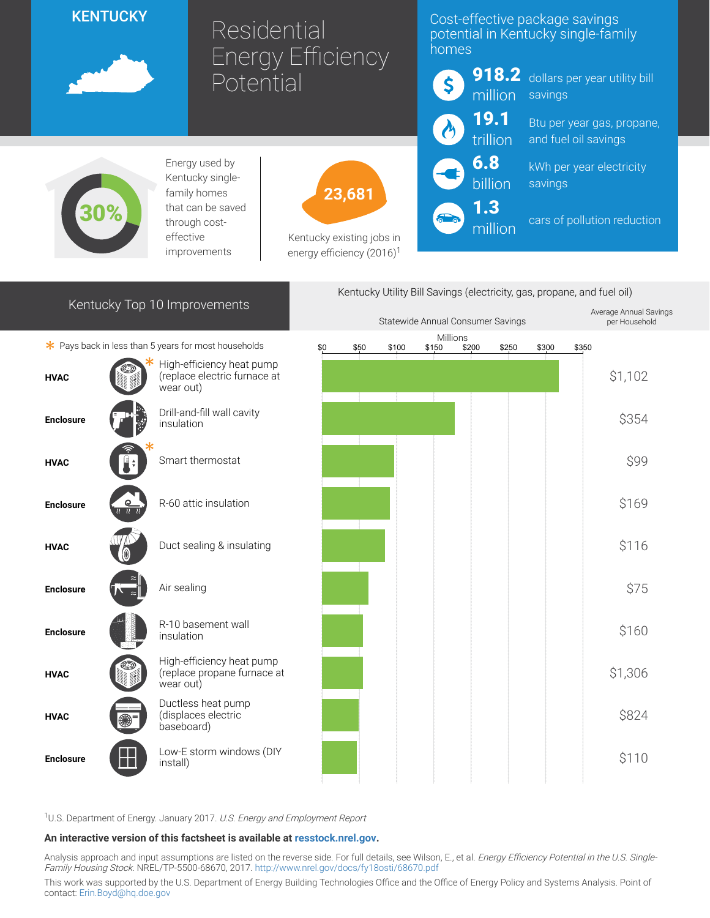## **KENTUCKY**



# Residential Energy Efficiency **Potential**

### Cost-effective package savings potential in Kentucky single-family homes



918.2 dollars per year utility bill savings

> Btu per year gas, propane, and fuel oil savings

kWh per year electricity savings

cars of pollution reduction



Energy used by Kentucky singlefamily homes that can be saved through costeffective improvements



Kentucky existing jobs in energy efficiency  $(2016)^1$ 

| Kentucky Top 10 Improvements                         |  |                                                                        | Kentucky Utility Bill Savings (electricity, gas, propane, and fuel oil) |      |       |       |                   |       |       |       |                                         |
|------------------------------------------------------|--|------------------------------------------------------------------------|-------------------------------------------------------------------------|------|-------|-------|-------------------|-------|-------|-------|-----------------------------------------|
|                                                      |  |                                                                        | Statewide Annual Consumer Savings                                       |      |       |       |                   |       |       |       | Average Annual Savings<br>per Household |
| * Pays back in less than 5 years for most households |  |                                                                        | \$0                                                                     | \$50 | \$100 | \$150 | Millions<br>\$200 | \$250 | \$300 | \$350 |                                         |
| <b>HVAC</b>                                          |  | High-efficiency heat pump<br>(replace electric furnace at<br>wear out) |                                                                         |      |       |       |                   |       |       |       | \$1,102                                 |
| <b>Enclosure</b>                                     |  | Drill-and-fill wall cavity<br>insulation                               |                                                                         |      |       |       |                   |       |       |       | \$354                                   |
| <b>HVAC</b>                                          |  | Smart thermostat                                                       |                                                                         |      |       |       |                   |       |       |       | \$99                                    |
| <b>Enclosure</b>                                     |  | R-60 attic insulation                                                  |                                                                         |      |       |       |                   |       |       |       | \$169                                   |
| <b>HVAC</b>                                          |  | Duct sealing & insulating                                              |                                                                         |      |       |       |                   |       |       |       | \$116                                   |
| <b>Enclosure</b>                                     |  | Air sealing                                                            |                                                                         |      |       |       |                   |       |       |       | \$75                                    |
| <b>Enclosure</b>                                     |  | R-10 basement wall<br>insulation                                       |                                                                         |      |       |       |                   |       |       |       | \$160                                   |
| HVAC                                                 |  | High-efficiency heat pump<br>(replace propane furnace at<br>wear out)  |                                                                         |      |       |       |                   |       |       |       | \$1,306                                 |
| <b>HVAC</b>                                          |  | Ductless heat pump<br>(displaces electric<br>baseboard)                |                                                                         |      |       |       |                   |       |       |       | \$824                                   |
| <b>Enclosure</b>                                     |  | Low-E storm windows (DIY<br>install)                                   |                                                                         |      |       |       |                   |       |       |       | \$110                                   |
|                                                      |  |                                                                        |                                                                         |      |       |       |                   |       |       |       |                                         |

<sup>1</sup>U.S. Department of Energy. January 2017. U.S. Energy and Employment Report

#### An interactive version of this factsheet is available at [resstock.nrel.gov.](https://resstock.nrel.gov/)

Analysis approach and input assumptions are listed on the reverse side. For full details, see Wilson, E., et al. *Energy Efficiency Potential in the U.S. Single*-Family Housing Stock. NREL/TP-5500-68670, 2017. <http://www.nrel.gov/docs/fy18osti/68670.pdf>

This work was supported by the U.S. Department of Energy Building Technologies Office and the Office of Energy Policy and Systems Analysis. Point of contact: [Erin.Boyd@hq.doe.gov](mailto:Erin.Boyd@hq.doe.gov)